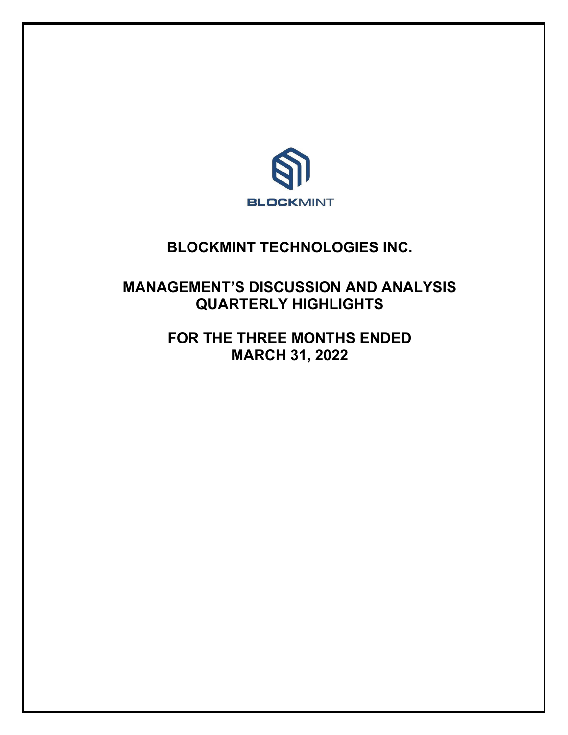

# **BLOCKMINT TECHNOLOGIES INC.**

# **MANAGEMENT'S DISCUSSION AND ANALYSIS QUARTERLY HIGHLIGHTS**

**FOR THE THREE MONTHS ENDED MARCH 31, 2022**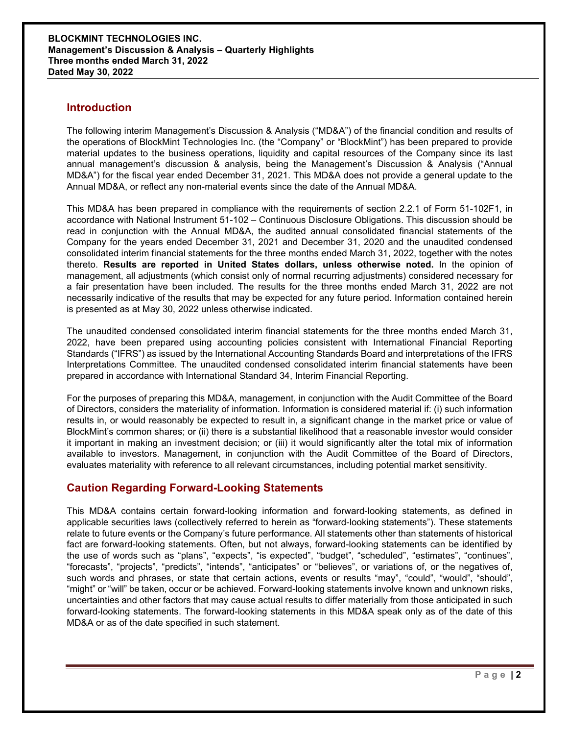## **Introduction**

The following interim Management's Discussion & Analysis ("MD&A") of the financial condition and results of the operations of BlockMint Technologies Inc. (the "Company" or "BlockMint") has been prepared to provide material updates to the business operations, liquidity and capital resources of the Company since its last annual management's discussion & analysis, being the Management's Discussion & Analysis ("Annual MD&A") for the fiscal year ended December 31, 2021. This MD&A does not provide a general update to the Annual MD&A, or reflect any non-material events since the date of the Annual MD&A.

This MD&A has been prepared in compliance with the requirements of section 2.2.1 of Form 51-102F1, in accordance with National Instrument 51-102 – Continuous Disclosure Obligations. This discussion should be read in conjunction with the Annual MD&A, the audited annual consolidated financial statements of the Company for the years ended December 31, 2021 and December 31, 2020 and the unaudited condensed consolidated interim financial statements for the three months ended March 31, 2022, together with the notes thereto. **Results are reported in United States dollars, unless otherwise noted.** In the opinion of management, all adjustments (which consist only of normal recurring adjustments) considered necessary for a fair presentation have been included. The results for the three months ended March 31, 2022 are not necessarily indicative of the results that may be expected for any future period. Information contained herein is presented as at May 30, 2022 unless otherwise indicated.

The unaudited condensed consolidated interim financial statements for the three months ended March 31, 2022, have been prepared using accounting policies consistent with International Financial Reporting Standards ("IFRS") as issued by the International Accounting Standards Board and interpretations of the IFRS Interpretations Committee. The unaudited condensed consolidated interim financial statements have been prepared in accordance with International Standard 34, Interim Financial Reporting.

For the purposes of preparing this MD&A, management, in conjunction with the Audit Committee of the Board of Directors, considers the materiality of information. Information is considered material if: (i) such information results in, or would reasonably be expected to result in, a significant change in the market price or value of BlockMint's common shares; or (ii) there is a substantial likelihood that a reasonable investor would consider it important in making an investment decision; or (iii) it would significantly alter the total mix of information available to investors. Management, in conjunction with the Audit Committee of the Board of Directors, evaluates materiality with reference to all relevant circumstances, including potential market sensitivity.

# **Caution Regarding Forward-Looking Statements**

This MD&A contains certain forward-looking information and forward-looking statements, as defined in applicable securities laws (collectively referred to herein as "forward-looking statements"). These statements relate to future events or the Company's future performance. All statements other than statements of historical fact are forward-looking statements. Often, but not always, forward-looking statements can be identified by the use of words such as "plans", "expects", "is expected", "budget", "scheduled", "estimates", "continues", "forecasts", "projects", "predicts", "intends", "anticipates" or "believes", or variations of, or the negatives of, such words and phrases, or state that certain actions, events or results "may", "could", "would", "should", "might" or "will" be taken, occur or be achieved. Forward-looking statements involve known and unknown risks, uncertainties and other factors that may cause actual results to differ materially from those anticipated in such forward-looking statements. The forward-looking statements in this MD&A speak only as of the date of this MD&A or as of the date specified in such statement.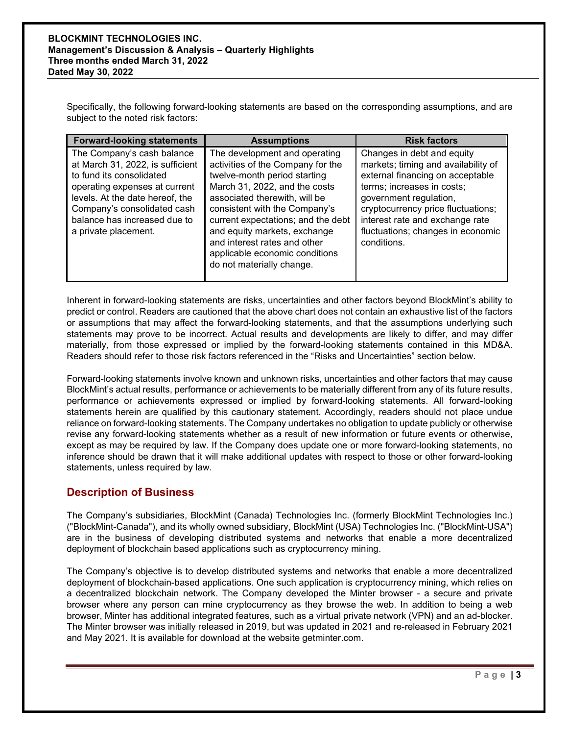Specifically, the following forward-looking statements are based on the corresponding assumptions, and are subject to the noted risk factors:

| <b>Forward-looking statements</b>                                                                                                                                                                                                                     | <b>Assumptions</b>                                                                                                                                                                                                                                                                                                                                                         | <b>Risk factors</b>                                                                                                                                                                                                                                                                        |
|-------------------------------------------------------------------------------------------------------------------------------------------------------------------------------------------------------------------------------------------------------|----------------------------------------------------------------------------------------------------------------------------------------------------------------------------------------------------------------------------------------------------------------------------------------------------------------------------------------------------------------------------|--------------------------------------------------------------------------------------------------------------------------------------------------------------------------------------------------------------------------------------------------------------------------------------------|
| The Company's cash balance<br>at March 31, 2022, is sufficient<br>to fund its consolidated<br>operating expenses at current<br>levels. At the date hereof, the<br>Company's consolidated cash<br>balance has increased due to<br>a private placement. | The development and operating<br>activities of the Company for the<br>twelve-month period starting<br>March 31, 2022, and the costs<br>associated therewith, will be<br>consistent with the Company's<br>current expectations; and the debt<br>and equity markets, exchange<br>and interest rates and other<br>applicable economic conditions<br>do not materially change. | Changes in debt and equity<br>markets; timing and availability of<br>external financing on acceptable<br>terms; increases in costs;<br>government regulation,<br>cryptocurrency price fluctuations;<br>interest rate and exchange rate<br>fluctuations; changes in economic<br>conditions. |

Inherent in forward-looking statements are risks, uncertainties and other factors beyond BlockMint's ability to predict or control. Readers are cautioned that the above chart does not contain an exhaustive list of the factors or assumptions that may affect the forward-looking statements, and that the assumptions underlying such statements may prove to be incorrect. Actual results and developments are likely to differ, and may differ materially, from those expressed or implied by the forward-looking statements contained in this MD&A. Readers should refer to those risk factors referenced in the "Risks and Uncertainties" section below.

Forward-looking statements involve known and unknown risks, uncertainties and other factors that may cause BlockMint's actual results, performance or achievements to be materially different from any of its future results, performance or achievements expressed or implied by forward-looking statements. All forward-looking statements herein are qualified by this cautionary statement. Accordingly, readers should not place undue reliance on forward-looking statements. The Company undertakes no obligation to update publicly or otherwise revise any forward-looking statements whether as a result of new information or future events or otherwise, except as may be required by law. If the Company does update one or more forward-looking statements, no inference should be drawn that it will make additional updates with respect to those or other forward-looking statements, unless required by law.

# **Description of Business**

The Company's subsidiaries, BlockMint (Canada) Technologies Inc. (formerly BlockMint Technologies Inc.) ("BlockMint-Canada"), and its wholly owned subsidiary, BlockMint (USA) Technologies Inc. ("BlockMint-USA") are in the business of developing distributed systems and networks that enable a more decentralized deployment of blockchain based applications such as cryptocurrency mining.

The Company's objective is to develop distributed systems and networks that enable a more decentralized deployment of blockchain-based applications. One such application is cryptocurrency mining, which relies on a decentralized blockchain network. The Company developed the Minter browser - a secure and private browser where any person can mine cryptocurrency as they browse the web. In addition to being a web browser, Minter has additional integrated features, such as a virtual private network (VPN) and an ad-blocker. The Minter browser was initially released in 2019, but was updated in 2021 and re-released in February 2021 and May 2021. It is available for download at the website getminter.com.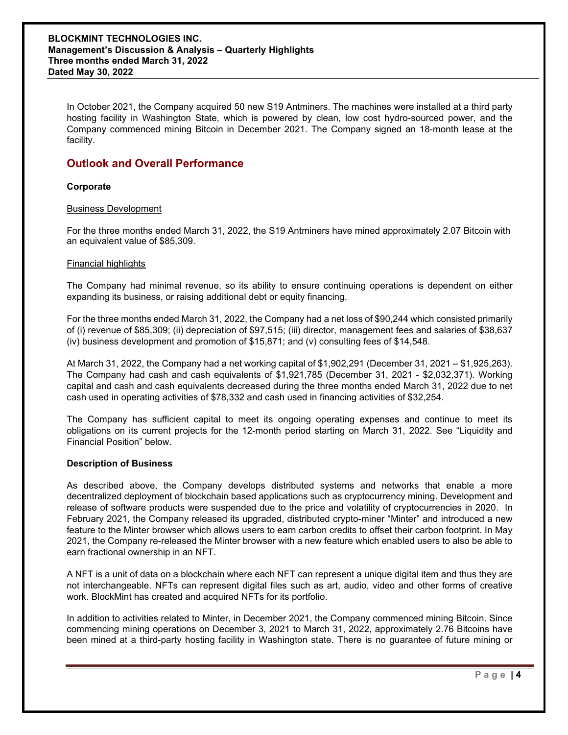#### **BLOCKMINT TECHNOLOGIES INC. Management's Discussion & Analysis – Quarterly Highlights Three months ended March 31, 2022 Dated May 30, 2022**

In October 2021, the Company acquired 50 new S19 Antminers. The machines were installed at a third party hosting facility in Washington State, which is powered by clean, low cost hydro-sourced power, and the Company commenced mining Bitcoin in December 2021. The Company signed an 18-month lease at the facility.

## **Outlook and Overall Performance**

## **Corporate**

#### Business Development

For the three months ended March 31, 2022, the S19 Antminers have mined approximately 2.07 Bitcoin with an equivalent value of \$85,309.

## Financial highlights

The Company had minimal revenue, so its ability to ensure continuing operations is dependent on either expanding its business, or raising additional debt or equity financing.

For the three months ended March 31, 2022, the Company had a net loss of \$90,244 which consisted primarily of (i) revenue of \$85,309; (ii) depreciation of \$97,515; (iii) director, management fees and salaries of \$38,637 (iv) business development and promotion of \$15,871; and (v) consulting fees of \$14,548.

At March 31, 2022, the Company had a net working capital of \$1,902,291 (December 31, 2021 – \$1,925,263). The Company had cash and cash equivalents of \$1,921,785 (December 31, 2021 - \$2,032,371). Working capital and cash and cash equivalents decreased during the three months ended March 31, 2022 due to net cash used in operating activities of \$78,332 and cash used in financing activities of \$32,254.

The Company has sufficient capital to meet its ongoing operating expenses and continue to meet its obligations on its current projects for the 12-month period starting on March 31, 2022. See "Liquidity and Financial Position" below.

#### **Description of Business**

As described above, the Company develops distributed systems and networks that enable a more decentralized deployment of blockchain based applications such as cryptocurrency mining. Development and release of software products were suspended due to the price and volatility of cryptocurrencies in 2020. In February 2021, the Company released its upgraded, distributed crypto-miner "Minter" and introduced a new feature to the Minter browser which allows users to earn carbon credits to offset their carbon footprint. In May 2021, the Company re-released the Minter browser with a new feature which enabled users to also be able to earn fractional ownership in an NFT.

A NFT is a unit of data on a blockchain where each NFT can represent a unique digital item and thus they are not interchangeable. NFTs can represent digital files such as art, audio, video and other forms of creative work. BlockMint has created and acquired NFTs for its portfolio.

In addition to activities related to Minter, in December 2021, the Company commenced mining Bitcoin. Since commencing mining operations on December 3, 2021 to March 31, 2022, approximately 2.76 Bitcoins have been mined at a third-party hosting facility in Washington state. There is no guarantee of future mining or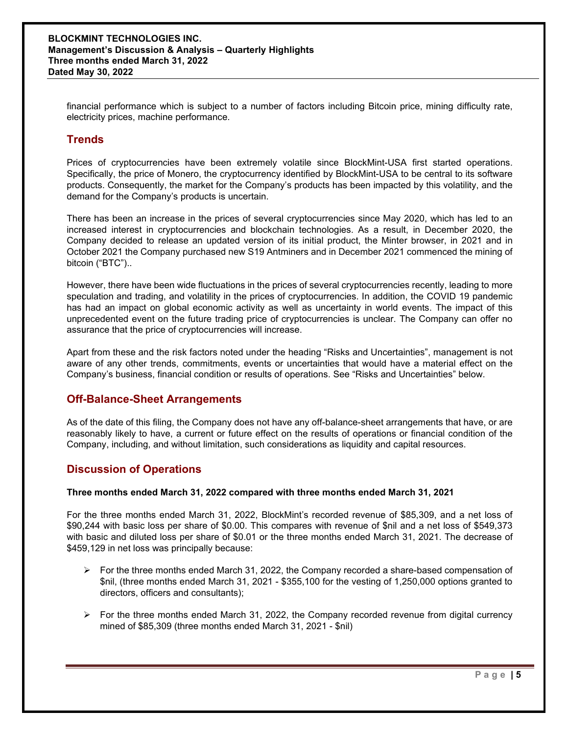financial performance which is subject to a number of factors including Bitcoin price, mining difficulty rate, electricity prices, machine performance.

## **Trends**

Prices of cryptocurrencies have been extremely volatile since BlockMint-USA first started operations. Specifically, the price of Monero, the cryptocurrency identified by BlockMint-USA to be central to its software products. Consequently, the market for the Company's products has been impacted by this volatility, and the demand for the Company's products is uncertain.

There has been an increase in the prices of several cryptocurrencies since May 2020, which has led to an increased interest in cryptocurrencies and blockchain technologies. As a result, in December 2020, the Company decided to release an updated version of its initial product, the Minter browser, in 2021 and in October 2021 the Company purchased new S19 Antminers and in December 2021 commenced the mining of bitcoin ("BTC")..

However, there have been wide fluctuations in the prices of several cryptocurrencies recently, leading to more speculation and trading, and volatility in the prices of cryptocurrencies. In addition, the COVID 19 pandemic has had an impact on global economic activity as well as uncertainty in world events. The impact of this unprecedented event on the future trading price of cryptocurrencies is unclear. The Company can offer no assurance that the price of cryptocurrencies will increase.

Apart from these and the risk factors noted under the heading "Risks and Uncertainties", management is not aware of any other trends, commitments, events or uncertainties that would have a material effect on the Company's business, financial condition or results of operations. See "Risks and Uncertainties" below.

## **Off-Balance-Sheet Arrangements**

As of the date of this filing, the Company does not have any off-balance-sheet arrangements that have, or are reasonably likely to have, a current or future effect on the results of operations or financial condition of the Company, including, and without limitation, such considerations as liquidity and capital resources.

# **Discussion of Operations**

## **Three months ended March 31, 2022 compared with three months ended March 31, 2021**

For the three months ended March 31, 2022, BlockMint's recorded revenue of \$85,309, and a net loss of \$90,244 with basic loss per share of \$0.00. This compares with revenue of \$nil and a net loss of \$549,373 with basic and diluted loss per share of \$0.01 or the three months ended March 31, 2021. The decrease of \$459,129 in net loss was principally because:

- $\triangleright$  For the three months ended March 31, 2022, the Company recorded a share-based compensation of \$nil, (three months ended March 31, 2021 - \$355,100 for the vesting of 1,250,000 options granted to directors, officers and consultants);
- $\triangleright$  For the three months ended March 31, 2022, the Company recorded revenue from digital currency mined of \$85,309 (three months ended March 31, 2021 - \$nil)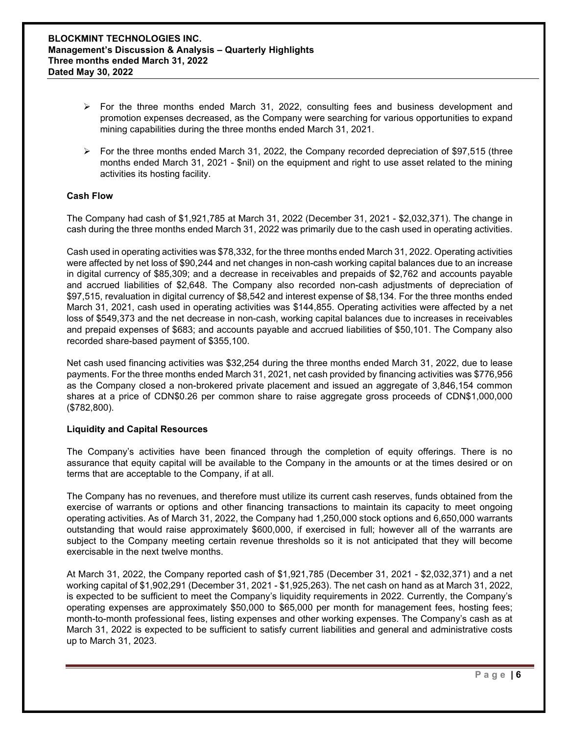- $\triangleright$  For the three months ended March 31, 2022, consulting fees and business development and promotion expenses decreased, as the Company were searching for various opportunities to expand mining capabilities during the three months ended March 31, 2021.
- $\triangleright$  For the three months ended March 31, 2022, the Company recorded depreciation of \$97,515 (three months ended March 31, 2021 - \$nil) on the equipment and right to use asset related to the mining activities its hosting facility.

## **Cash Flow**

The Company had cash of \$1,921,785 at March 31, 2022 (December 31, 2021 - \$2,032,371). The change in cash during the three months ended March 31, 2022 was primarily due to the cash used in operating activities.

Cash used in operating activities was \$78,332, for the three months ended March 31, 2022. Operating activities were affected by net loss of \$90,244 and net changes in non-cash working capital balances due to an increase in digital currency of \$85,309; and a decrease in receivables and prepaids of \$2,762 and accounts payable and accrued liabilities of \$2,648. The Company also recorded non-cash adjustments of depreciation of \$97,515, revaluation in digital currency of \$8,542 and interest expense of \$8,134. For the three months ended March 31, 2021, cash used in operating activities was \$144,855. Operating activities were affected by a net loss of \$549,373 and the net decrease in non-cash, working capital balances due to increases in receivables and prepaid expenses of \$683; and accounts payable and accrued liabilities of \$50,101. The Company also recorded share-based payment of \$355,100.

Net cash used financing activities was \$32,254 during the three months ended March 31, 2022, due to lease payments. For the three months ended March 31, 2021, net cash provided by financing activities was \$776,956 as the Company closed a non-brokered private placement and issued an aggregate of 3,846,154 common shares at a price of CDN\$0.26 per common share to raise aggregate gross proceeds of CDN\$1,000,000 (\$782,800).

#### **Liquidity and Capital Resources**

The Company's activities have been financed through the completion of equity offerings. There is no assurance that equity capital will be available to the Company in the amounts or at the times desired or on terms that are acceptable to the Company, if at all.

The Company has no revenues, and therefore must utilize its current cash reserves, funds obtained from the exercise of warrants or options and other financing transactions to maintain its capacity to meet ongoing operating activities. As of March 31, 2022, the Company had 1,250,000 stock options and 6,650,000 warrants outstanding that would raise approximately \$600,000, if exercised in full; however all of the warrants are subject to the Company meeting certain revenue thresholds so it is not anticipated that they will become exercisable in the next twelve months.

At March 31, 2022, the Company reported cash of \$1,921,785 (December 31, 2021 - \$2,032,371) and a net working capital of \$1,902,291 (December 31, 2021 - \$1,925,263). The net cash on hand as at March 31, 2022, is expected to be sufficient to meet the Company's liquidity requirements in 2022. Currently, the Company's operating expenses are approximately \$50,000 to \$65,000 per month for management fees, hosting fees; month-to-month professional fees, listing expenses and other working expenses. The Company's cash as at March 31, 2022 is expected to be sufficient to satisfy current liabilities and general and administrative costs up to March 31, 2023.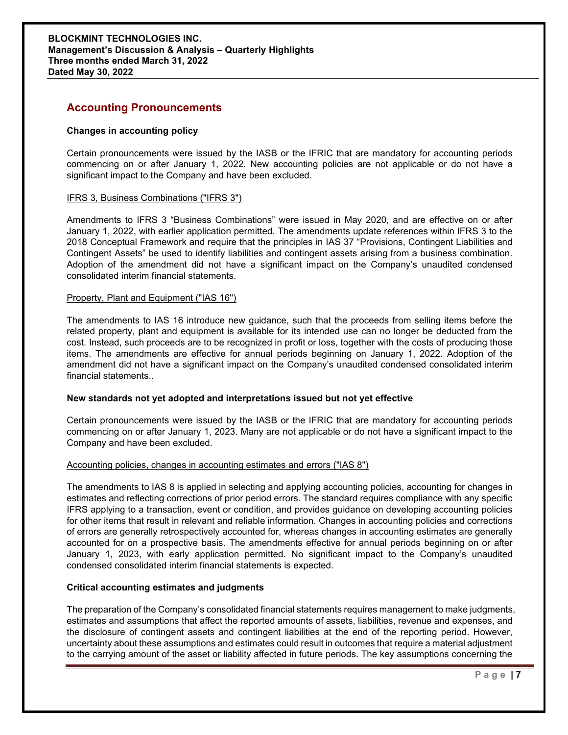## **Accounting Pronouncements**

#### **Changes in accounting policy**

Certain pronouncements were issued by the IASB or the IFRIC that are mandatory for accounting periods commencing on or after January 1, 2022. New accounting policies are not applicable or do not have a significant impact to the Company and have been excluded.

#### IFRS 3, Business Combinations ("IFRS 3")

Amendments to IFRS 3 "Business Combinations" were issued in May 2020, and are effective on or after January 1, 2022, with earlier application permitted. The amendments update references within IFRS 3 to the 2018 Conceptual Framework and require that the principles in IAS 37 "Provisions, Contingent Liabilities and Contingent Assets" be used to identify liabilities and contingent assets arising from a business combination. Adoption of the amendment did not have a significant impact on the Company's unaudited condensed consolidated interim financial statements.

#### Property, Plant and Equipment ("IAS 16")

The amendments to IAS 16 introduce new guidance, such that the proceeds from selling items before the related property, plant and equipment is available for its intended use can no longer be deducted from the cost. Instead, such proceeds are to be recognized in profit or loss, together with the costs of producing those items. The amendments are effective for annual periods beginning on January 1, 2022. Adoption of the amendment did not have a significant impact on the Company's unaudited condensed consolidated interim financial statements..

#### **New standards not yet adopted and interpretations issued but not yet effective**

Certain pronouncements were issued by the IASB or the IFRIC that are mandatory for accounting periods commencing on or after January 1, 2023. Many are not applicable or do not have a significant impact to the Company and have been excluded.

#### Accounting policies, changes in accounting estimates and errors ("IAS 8")

The amendments to IAS 8 is applied in selecting and applying accounting policies, accounting for changes in estimates and reflecting corrections of prior period errors. The standard requires compliance with any specific IFRS applying to a transaction, event or condition, and provides guidance on developing accounting policies for other items that result in relevant and reliable information. Changes in accounting policies and corrections of errors are generally retrospectively accounted for, whereas changes in accounting estimates are generally accounted for on a prospective basis. The amendments effective for annual periods beginning on or after January 1, 2023, with early application permitted. No significant impact to the Company's unaudited condensed consolidated interim financial statements is expected.

#### **Critical accounting estimates and judgments**

The preparation of the Company's consolidated financial statements requires management to make judgments, estimates and assumptions that affect the reported amounts of assets, liabilities, revenue and expenses, and the disclosure of contingent assets and contingent liabilities at the end of the reporting period. However, uncertainty about these assumptions and estimates could result in outcomes that require a material adjustment to the carrying amount of the asset or liability affected in future periods. The key assumptions concerning the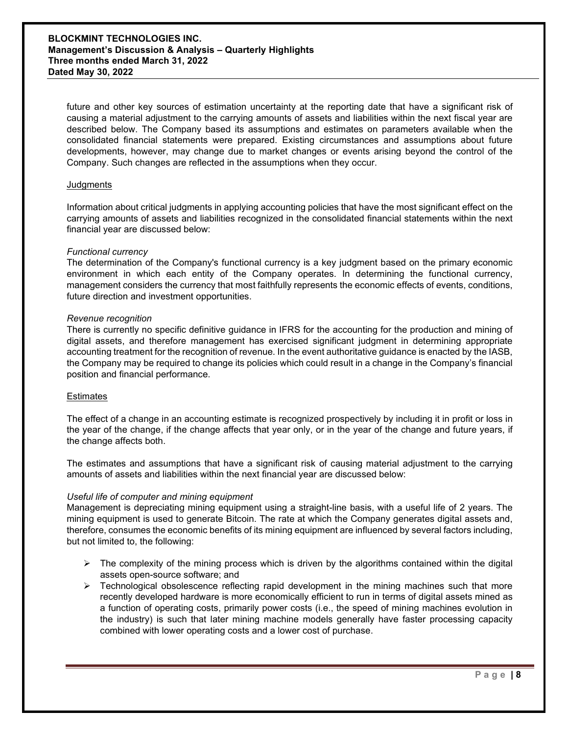#### **BLOCKMINT TECHNOLOGIES INC. Management's Discussion & Analysis – Quarterly Highlights Three months ended March 31, 2022 Dated May 30, 2022**

future and other key sources of estimation uncertainty at the reporting date that have a significant risk of causing a material adjustment to the carrying amounts of assets and liabilities within the next fiscal year are described below. The Company based its assumptions and estimates on parameters available when the consolidated financial statements were prepared. Existing circumstances and assumptions about future developments, however, may change due to market changes or events arising beyond the control of the Company. Such changes are reflected in the assumptions when they occur.

#### **Judgments**

Information about critical judgments in applying accounting policies that have the most significant effect on the carrying amounts of assets and liabilities recognized in the consolidated financial statements within the next financial year are discussed below:

#### *Functional currency*

The determination of the Company's functional currency is a key judgment based on the primary economic environment in which each entity of the Company operates. In determining the functional currency, management considers the currency that most faithfully represents the economic effects of events, conditions, future direction and investment opportunities.

#### *Revenue recognition*

There is currently no specific definitive guidance in IFRS for the accounting for the production and mining of digital assets, and therefore management has exercised significant judgment in determining appropriate accounting treatment for the recognition of revenue. In the event authoritative guidance is enacted by the IASB, the Company may be required to change its policies which could result in a change in the Company's financial position and financial performance.

#### **Estimates**

The effect of a change in an accounting estimate is recognized prospectively by including it in profit or loss in the year of the change, if the change affects that year only, or in the year of the change and future years, if the change affects both.

The estimates and assumptions that have a significant risk of causing material adjustment to the carrying amounts of assets and liabilities within the next financial year are discussed below:

#### *Useful life of computer and mining equipment*

Management is depreciating mining equipment using a straight-line basis, with a useful life of 2 years. The mining equipment is used to generate Bitcoin. The rate at which the Company generates digital assets and, therefore, consumes the economic benefits of its mining equipment are influenced by several factors including, but not limited to, the following:

- $\triangleright$  The complexity of the mining process which is driven by the algorithms contained within the digital assets open-source software; and
- $\triangleright$  Technological obsolescence reflecting rapid development in the mining machines such that more recently developed hardware is more economically efficient to run in terms of digital assets mined as a function of operating costs, primarily power costs (i.e., the speed of mining machines evolution in the industry) is such that later mining machine models generally have faster processing capacity combined with lower operating costs and a lower cost of purchase.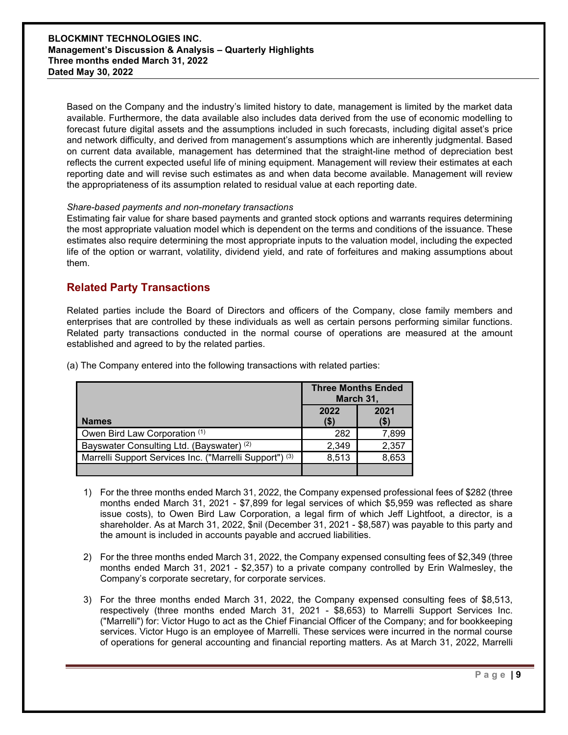Based on the Company and the industry's limited history to date, management is limited by the market data available. Furthermore, the data available also includes data derived from the use of economic modelling to forecast future digital assets and the assumptions included in such forecasts, including digital asset's price and network difficulty, and derived from management's assumptions which are inherently judgmental. Based on current data available, management has determined that the straight-line method of depreciation best reflects the current expected useful life of mining equipment. Management will review their estimates at each reporting date and will revise such estimates as and when data become available. Management will review the appropriateness of its assumption related to residual value at each reporting date.

#### *Share-based payments and non-monetary transactions*

Estimating fair value for share based payments and granted stock options and warrants requires determining the most appropriate valuation model which is dependent on the terms and conditions of the issuance. These estimates also require determining the most appropriate inputs to the valuation model, including the expected life of the option or warrant, volatility, dividend yield, and rate of forfeitures and making assumptions about them.

## **Related Party Transactions**

Related parties include the Board of Directors and officers of the Company, close family members and enterprises that are controlled by these individuals as well as certain persons performing similar functions. Related party transactions conducted in the normal course of operations are measured at the amount established and agreed to by the related parties.

|                                                                    | <b>Three Months Ended</b><br>March 31, |              |
|--------------------------------------------------------------------|----------------------------------------|--------------|
| <b>Names</b>                                                       | 2022<br>(\$)                           | 2021<br>(\$) |
| Owen Bird Law Corporation (1)                                      | 282                                    | 7,899        |
| Bayswater Consulting Ltd. (Bayswater) (2)                          | 2,349                                  | 2,357        |
| Marrelli Support Services Inc. ("Marrelli Support") <sup>(3)</sup> | 8,513                                  | 8,653        |
|                                                                    |                                        |              |

(a) The Company entered into the following transactions with related parties:

- 1) For the three months ended March 31, 2022, the Company expensed professional fees of \$282 (three months ended March 31, 2021 - \$7,899 for legal services of which \$5,959 was reflected as share issue costs), to Owen Bird Law Corporation, a legal firm of which Jeff Lightfoot, a director, is a shareholder. As at March 31, 2022, \$nil (December 31, 2021 - \$8,587) was payable to this party and the amount is included in accounts payable and accrued liabilities.
- 2) For the three months ended March 31, 2022, the Company expensed consulting fees of \$2,349 (three months ended March 31, 2021 - \$2,357) to a private company controlled by Erin Walmesley, the Company's corporate secretary, for corporate services.
- 3) For the three months ended March 31, 2022, the Company expensed consulting fees of \$8,513, respectively (three months ended March 31, 2021 - \$8,653) to Marrelli Support Services Inc. ("Marrelli") for: Victor Hugo to act as the Chief Financial Officer of the Company; and for bookkeeping services. Victor Hugo is an employee of Marrelli. These services were incurred in the normal course of operations for general accounting and financial reporting matters. As at March 31, 2022, Marrelli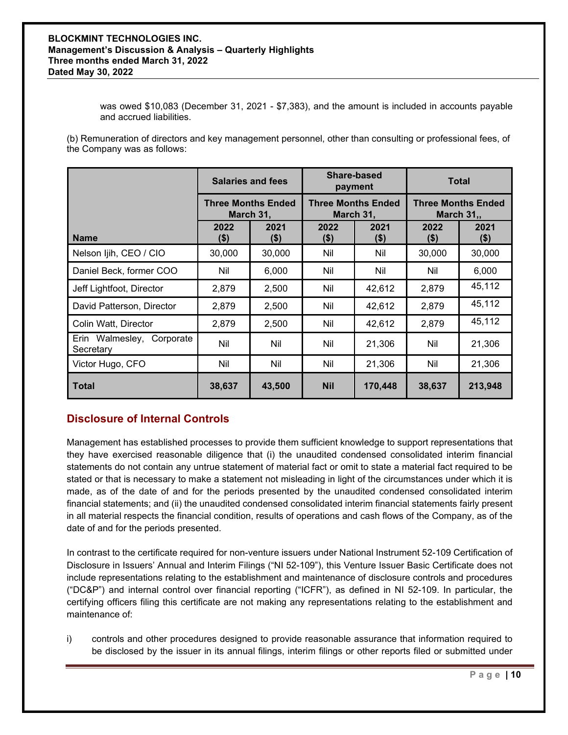was owed \$10,083 (December 31, 2021 - \$7,383), and the amount is included in accounts payable and accrued liabilities.

(b) Remuneration of directors and key management personnel, other than consulting or professional fees, of the Company was as follows:

|                                        | <b>Salaries and fees</b><br><b>Three Months Ended</b><br>March 31, |                | Share-based<br>payment<br><b>Three Months Ended</b><br>March 31, |                 | <b>Total</b>                                   |                 |
|----------------------------------------|--------------------------------------------------------------------|----------------|------------------------------------------------------------------|-----------------|------------------------------------------------|-----------------|
|                                        |                                                                    |                |                                                                  |                 | <b>Three Months Ended</b><br><b>March 31,,</b> |                 |
| <b>Name</b>                            | 2022<br>(\$)                                                       | 2021<br>$(\$)$ | 2022<br>$($ \$)                                                  | 2021<br>$($ \$) | 2022<br>(\$)                                   | 2021<br>$($ \$) |
| Nelson Ijih, CEO / CIO                 | 30,000                                                             | 30,000         | Nil                                                              | Nil             | 30,000                                         | 30,000          |
| Daniel Beck, former COO                | Nil                                                                | 6,000          | Nil                                                              | Nil             | Nil                                            | 6,000           |
| Jeff Lightfoot, Director               | 2,879                                                              | 2,500          | Nil                                                              | 42,612          | 2,879                                          | 45,112          |
| David Patterson, Director              | 2,879                                                              | 2,500          | Nil                                                              | 42,612          | 2,879                                          | 45,112          |
| Colin Watt, Director                   | 2,879                                                              | 2,500          | Nil                                                              | 42,612          | 2,879                                          | 45,112          |
| Erin Walmesley, Corporate<br>Secretary | Nil                                                                | Nil            | Nil                                                              | 21,306          | Nil                                            | 21,306          |
| Victor Hugo, CFO                       | Nil                                                                | Nil            | Nil                                                              | 21,306          | Nil                                            | 21,306          |
| Total                                  | 38,637                                                             | 43,500         | <b>Nil</b>                                                       | 170,448         | 38,637                                         | 213,948         |

# **Disclosure of Internal Controls**

Management has established processes to provide them sufficient knowledge to support representations that they have exercised reasonable diligence that (i) the unaudited condensed consolidated interim financial statements do not contain any untrue statement of material fact or omit to state a material fact required to be stated or that is necessary to make a statement not misleading in light of the circumstances under which it is made, as of the date of and for the periods presented by the unaudited condensed consolidated interim financial statements; and (ii) the unaudited condensed consolidated interim financial statements fairly present in all material respects the financial condition, results of operations and cash flows of the Company, as of the date of and for the periods presented.

In contrast to the certificate required for non-venture issuers under National Instrument 52-109 Certification of Disclosure in Issuers' Annual and Interim Filings ("NI 52-109"), this Venture Issuer Basic Certificate does not include representations relating to the establishment and maintenance of disclosure controls and procedures ("DC&P") and internal control over financial reporting ("ICFR"), as defined in NI 52-109. In particular, the certifying officers filing this certificate are not making any representations relating to the establishment and maintenance of:

i) controls and other procedures designed to provide reasonable assurance that information required to be disclosed by the issuer in its annual filings, interim filings or other reports filed or submitted under